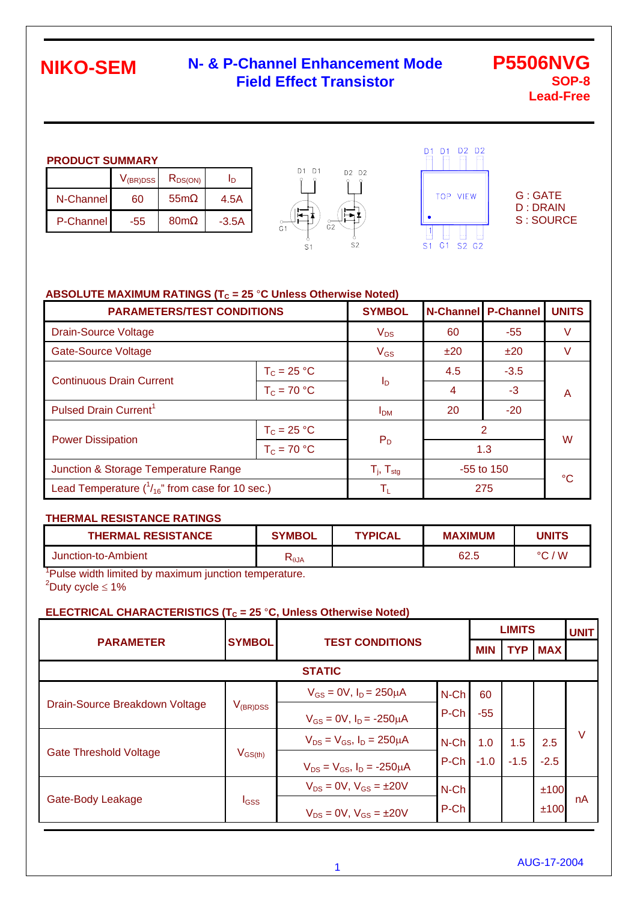### **N- & P-Channel Enhancement Mode Field Effect Transistor**

#### **PRODUCT SUMMARY**

|                  | $V_{\rm (BR)DSS}$ | $R_{DS(ON)}$    | In      |
|------------------|-------------------|-----------------|---------|
| N-Channel        | 60                | 55 <sub>m</sub> | 4.5A    |
| <b>P-Channel</b> | -55               | 80 <sub>m</sub> | $-3.5A$ |





G : GATE D : DRAIN S : SOURCE

#### **ABSOLUTE MAXIMUM RATINGS (T<sub>C</sub> = 25 °C Unless Otherwise Noted)**

| <b>PARAMETERS/TEST CONDITIONS</b>                      | <b>SYMBOL</b>            |              | <b>N-Channel P-Channel</b> | <b>UNITS</b> |   |  |
|--------------------------------------------------------|--------------------------|--------------|----------------------------|--------------|---|--|
| <b>Drain-Source Voltage</b>                            | $V_{DS}$                 | 60           | $-55$                      |              |   |  |
| <b>Gate-Source Voltage</b>                             |                          | $V_{GS}$     | ±20                        | ±20          |   |  |
| <b>Continuous Drain Current</b>                        | $T_c = 25 °C$            |              | 4.5                        | $-3.5$       |   |  |
|                                                        | $T_c = 70 °C$            | $I_D$        | $\overline{4}$             | $-3$         | A |  |
| Pulsed Drain Current <sup>1</sup>                      | I <sub>DM</sub>          | 20           | $-20$                      |              |   |  |
| $T_c = 25 °C$                                          |                          |              | 2                          | W            |   |  |
| <b>Power Dissipation</b>                               | $T_c = 70 °C$            | $P_D$<br>1.3 |                            |              |   |  |
| Junction & Storage Temperature Range                   | $T_i$ , $T_{\text{stg}}$ | $-55$ to 150 |                            | °C           |   |  |
| Lead Temperature $(^{1}_{16}$ " from case for 10 sec.) | $\mathsf{T}_1$           |              | 275                        |              |   |  |

#### **THERMAL RESISTANCE RATINGS**

| <b>THERMAL RESISTANCE</b>                                          | <b>SYMBOL</b> | <b>TYPICAL</b> | <b>MAXIMUM</b> | <b>UNITS</b> |
|--------------------------------------------------------------------|---------------|----------------|----------------|--------------|
| Junction-to-Ambient                                                | ιΩa           |                | 62.5           | / W<br>°C.   |
| $\mathsf{P}_1$ Dulca width limited by movimum iunotion temperature |               |                |                |              |

<sup>1</sup>Pulse width limited by maximum junction temperature.  $2^2$ Duty cycle  $\leq 1\%$ 

#### **ELECTRICAL CHARACTERISTICS (T<sub>C</sub> = 25 °C, Unless Otherwise Noted)**

|                                |                              |                                        |         |            | <b>LIMITS</b> |            |    |  |
|--------------------------------|------------------------------|----------------------------------------|---------|------------|---------------|------------|----|--|
| <b>PARAMETER</b>               | <b>SYMBOL</b>                | <b>TEST CONDITIONS</b>                 |         | <b>MIN</b> | <b>TYP</b>    | <b>MAX</b> |    |  |
| <b>STATIC</b>                  |                              |                                        |         |            |               |            |    |  |
|                                |                              | $V_{GS} = 0V$ , $I_D = 250 \mu A$      | $N$ -Ch | 60         |               |            |    |  |
| Drain-Source Breakdown Voltage | $V_{({\sf BR})\texttt{DSS}}$ | $V_{GS} = 0V$ , $I_D = -250 \mu A$     | P-Ch    | $-55$      |               |            |    |  |
|                                | $V_{\text{GS(th)}}$          | $V_{DS} = V_{GS}$ , $I_D = 250 \mu A$  | $N$ -Ch | 1.0        | 1.5           | 2.5        | V  |  |
| <b>Gate Threshold Voltage</b>  |                              | $V_{DS} = V_{GS}$ , $I_D = -250 \mu A$ | P-Ch    | $-1.0$     | $-1.5$        | $-2.5$     |    |  |
| Gate-Body Leakage              | <b>I</b> GSS                 | $V_{DS} = 0V$ , $V_{GS} = \pm 20V$     | $N$ -Ch |            |               | ±100       |    |  |
|                                |                              | $V_{DS} = 0V$ , $V_{GS} = \pm 20V$     | P-Ch    |            |               | ±100       | nA |  |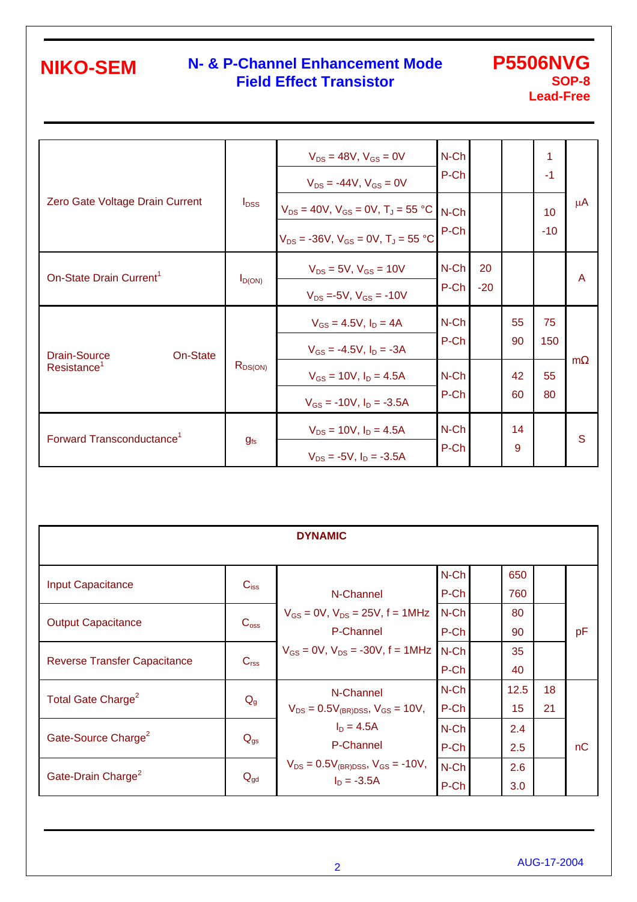### **N- & P-Channel Enhancement Mode Field Effect Transistor**

### **P5506NVG SOP-8 Lead-Free**

|                                       |              | $V_{DS} = 48V$ , $V_{GS} = 0V$<br>$V_{DS} = -44V$ , $V_{GS} = 0V$                                 | N-Ch<br>P-Ch    |             |          | 1<br>$-1$   |         |
|---------------------------------------|--------------|---------------------------------------------------------------------------------------------------|-----------------|-------------|----------|-------------|---------|
| Zero Gate Voltage Drain Current       | $I_{DSS}$    | $V_{DS} = 40V$ , $V_{GS} = 0V$ , $T_J = 55 °C$<br>$V_{DS}$ = -36V, $V_{GS}$ = 0V, $T_{J}$ = 55 °C | N-Ch<br>P-Ch    |             |          | 10<br>$-10$ | $\mu$ A |
| On-State Drain Current <sup>1</sup>   | $I_{D(ON)}$  | $V_{DS} = 5V$ , $V_{GS} = 10V$<br>$V_{DS} = -5V$ , $V_{GS} = -10V$                                | N-Ch<br>P-Ch    | 20<br>$-20$ |          |             | A       |
| On-State<br><b>Drain-Source</b>       |              | $V_{GS} = 4.5V$ , $I_D = 4A$<br>$V_{GS} = -4.5V$ , $I_D = -3A$                                    | $N$ -Ch<br>P-Ch |             | 55<br>90 | 75<br>150   |         |
| Resistance <sup>1</sup>               | $R_{DS(ON)}$ | $V_{GS} = 10V$ , $I_D = 4.5A$<br>$V_{GS}$ = -10V, $I_D$ = -3.5A                                   | $N$ -Ch<br>P-Ch |             | 42<br>60 | 55<br>80    | m       |
| Forward Transconductance <sup>1</sup> | $g_{fs}$     | $V_{DS} = 10V$ , $I_D = 4.5A$<br>$V_{DS}$ = -5V, $I_D$ = -3.5A                                    | N-Ch<br>P-Ch    |             | 14<br>9  |             | S       |

| <b>DYNAMIC</b>                      |                  |                                                                |                 |  |            |          |    |  |  |  |
|-------------------------------------|------------------|----------------------------------------------------------------|-----------------|--|------------|----------|----|--|--|--|
| <b>Input Capacitance</b>            | $C_{iss}$        | N-Channel                                                      | N-Ch<br>P-Ch    |  | 650<br>760 |          |    |  |  |  |
| <b>Output Capacitance</b>           | C <sub>oss</sub> | $V_{GS} = 0V$ , $V_{DS} = 25V$ , $f = 1MHz$<br>P-Channel       | N-Ch<br>P-Ch    |  | 80<br>90   |          | pF |  |  |  |
| <b>Reverse Transfer Capacitance</b> | C <sub>rss</sub> | $V_{GS} = 0V$ , $V_{DS} = -30V$ , $f = 1MHz$                   | $N$ -Ch<br>P-Ch |  | 35<br>40   |          |    |  |  |  |
| Total Gate Charge <sup>2</sup>      | $Q_{g}$          | N-Channel<br>$V_{DS} = 0.5V_{(BR)DSS}$ , $V_{GS} = 10V$ ,      | N-Ch<br>P-Ch    |  | 12.5<br>15 | 18<br>21 |    |  |  |  |
| Gate-Source Charge <sup>2</sup>     | $Q_{gs}$         | $I_D = 4.5A$<br>P-Channel                                      | N-Ch<br>P-Ch    |  | 2.4<br>2.5 |          | nC |  |  |  |
| Gate-Drain Charge <sup>2</sup>      | $Q_{\text{gd}}$  | $V_{DS} = 0.5V_{(BR)DSS}$ , $V_{GS} = -10V$ ,<br>$I_D = -3.5A$ | N-Ch<br>P-Ch    |  | 2.6<br>3.0 |          |    |  |  |  |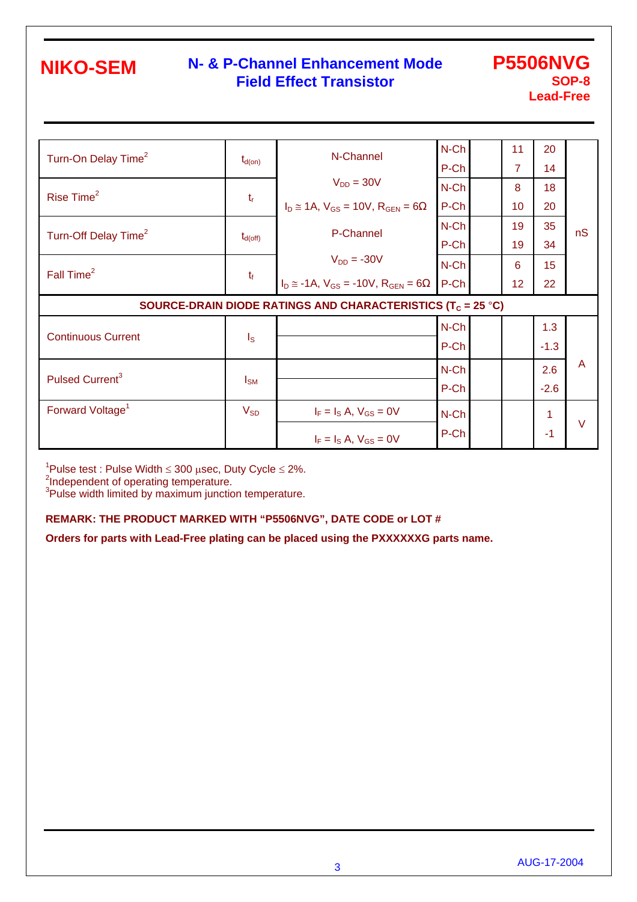### **N- & P-Channel Enhancement Mode Field Effect Transistor**

**P5506NVG SOP-8 Lead-Free** 

| Turn-On Delay Time <sup>2</sup>  |                         | N-Channel                                                               | N-Ch    | 11             | 20              |                         |
|----------------------------------|-------------------------|-------------------------------------------------------------------------|---------|----------------|-----------------|-------------------------|
|                                  | $t_{d(on)}$             |                                                                         | P-Ch    | $\overline{7}$ | 14              |                         |
| Rise Time <sup>2</sup>           |                         | $V_{DD} = 30V$                                                          | N-Ch    | 8              | 18              |                         |
|                                  | $t_{r}$                 | $I_D \approx 1A$ , $V_{GS} = 10V$ , $R_{GEN} = 6$                       | P-Ch    | 10             | 20              |                         |
|                                  |                         | P-Channel                                                               | N-Ch    | 19             | 35              | nS                      |
| Turn-Off Delay Time <sup>2</sup> | $t_{d(off)}$            |                                                                         | P-Ch    | 19             | 34              |                         |
| Fall Time <sup>2</sup>           | $t_f$                   | $V_{DD} = -30V$                                                         | N-Ch    | 6              | 15 <sub>1</sub> |                         |
|                                  |                         | $I_D \approx -1A$ , $V_{GS} = -10V$ , $R_{GEN} = 6$                     | P-Ch    | 12             | 22              |                         |
|                                  |                         | SOURCE-DRAIN DIODE RATINGS AND CHARACTERISTICS (T <sub>C</sub> = 25 °C) |         |                |                 |                         |
|                                  |                         |                                                                         | $N$ -Ch |                | 1.3             |                         |
| <b>Continuous Current</b>        | $\mathsf{I}_\mathsf{S}$ |                                                                         | P-Ch    |                | $-1.3$          |                         |
|                                  | $I_{\text{SM}}$         |                                                                         | N-Ch    |                | 2.6             | $\overline{\mathsf{A}}$ |
| Pulsed Current <sup>3</sup>      |                         |                                                                         | P-Ch    |                | $-2.6$          |                         |
| Forward Voltage <sup>1</sup>     | $V_{SD}$                | $I_F = I_S A$ , $V_{GS} = 0V$                                           | N-Ch    |                | 1               |                         |
|                                  |                         |                                                                         |         |                |                 | $\vee$                  |
|                                  |                         |                                                                         | P-Ch    |                | $-1$            |                         |

<sup>1</sup>Pulse test : Pulse Width ≤ 300 µsec, Duty Cycle ≤ 2%.<br><sup>2</sup>Independent of operating temperature.

<sup>3</sup>Pulse width limited by maximum junction temperature.

#### **REMARK: THE PRODUCT MARKED WITH "P5506NVG", DATE CODE or LOT #**

**Orders for parts with Lead-Free plating can be placed using the PXXXXXXG parts name.**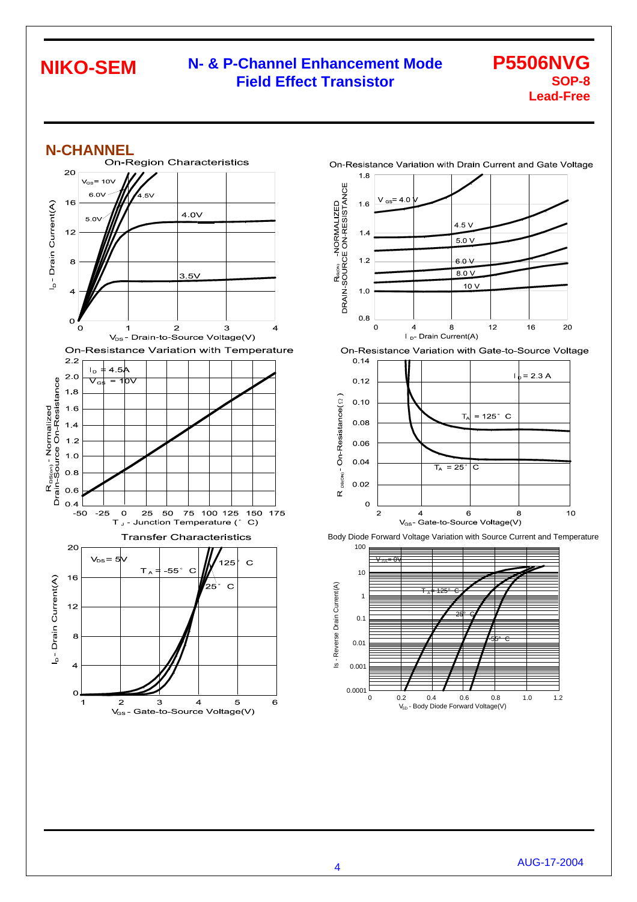#### **N- & P-Channel Enhancement Mode Field Effect Transistor NIKO-SEM**

#### **P5506NVG SOP-8 Lead-Free**







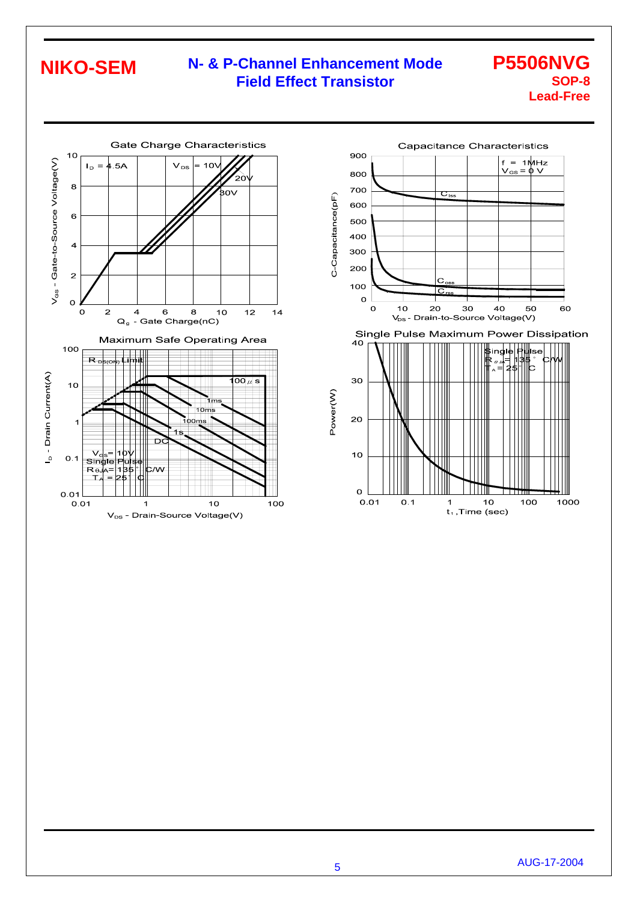### **N- & P-Channel Enhancement Mode Field Effect Transistor**

#### **P5506NVG SOP-8 Lead-Free**





5 AUG-17-2004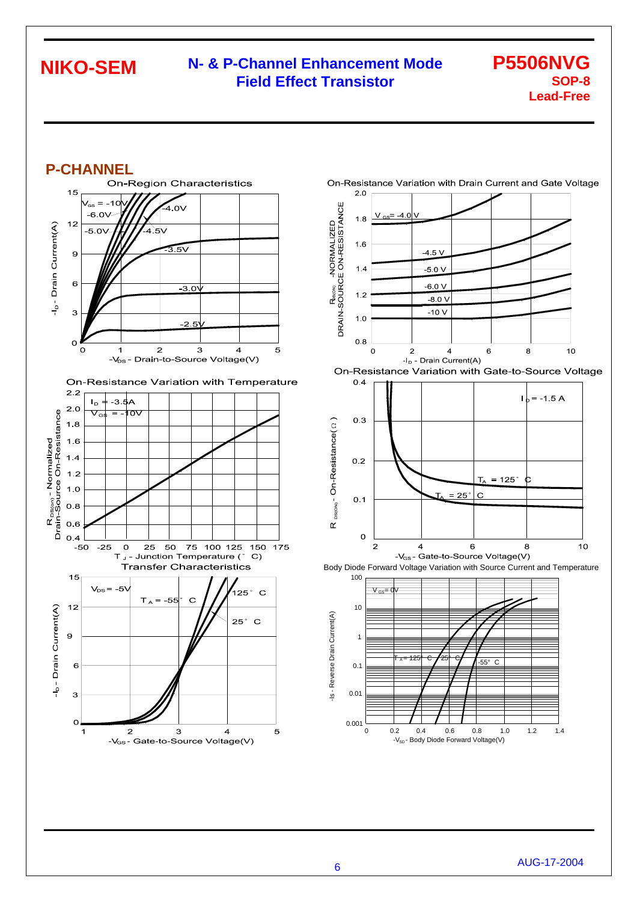### **N- & P-Channel Enhancement Mode Field Effect Transistor**

#### **P5506NVG SOP-8 Lead-Free**







6 AUG-17-2004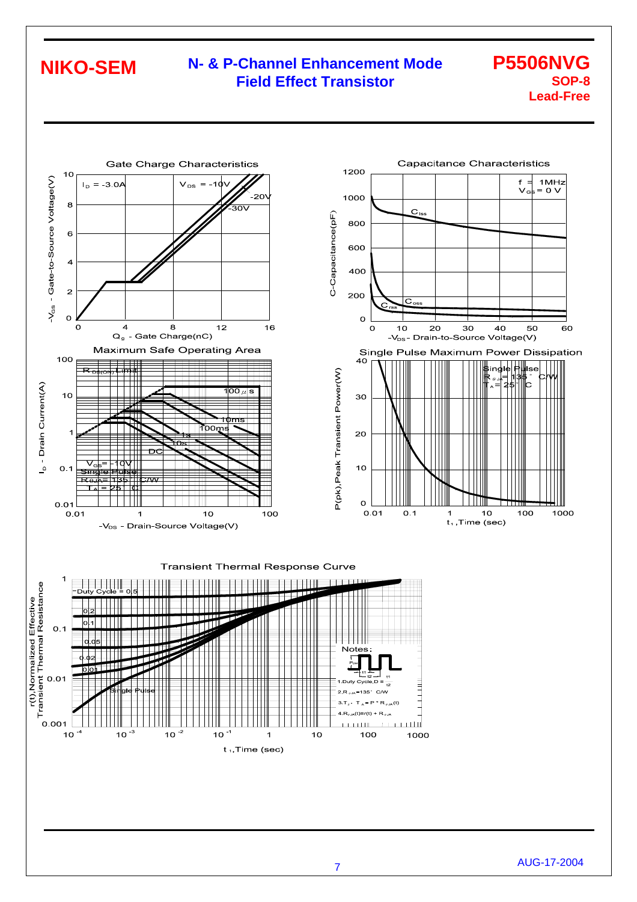### **N- & P-Channel Enhancement Mode Field Effect Transistor**

#### **P5506NVG SOP-8 Lead-Free**









<sup>7</sup>AUG-17-2004